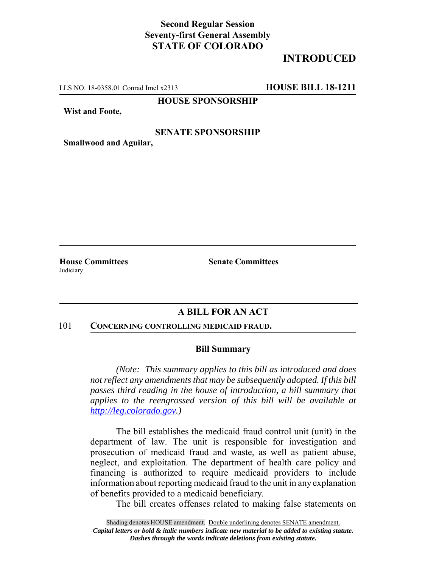## **Second Regular Session Seventy-first General Assembly STATE OF COLORADO**

# **INTRODUCED**

LLS NO. 18-0358.01 Conrad Imel x2313 **HOUSE BILL 18-1211**

**HOUSE SPONSORSHIP**

**Wist and Foote,**

### **SENATE SPONSORSHIP**

**Smallwood and Aguilar,**

**Judiciary** 

**House Committees Senate Committees** 

## **A BILL FOR AN ACT**

#### 101 **CONCERNING CONTROLLING MEDICAID FRAUD.**

### **Bill Summary**

*(Note: This summary applies to this bill as introduced and does not reflect any amendments that may be subsequently adopted. If this bill passes third reading in the house of introduction, a bill summary that applies to the reengrossed version of this bill will be available at http://leg.colorado.gov.)*

The bill establishes the medicaid fraud control unit (unit) in the department of law. The unit is responsible for investigation and prosecution of medicaid fraud and waste, as well as patient abuse, neglect, and exploitation. The department of health care policy and financing is authorized to require medicaid providers to include information about reporting medicaid fraud to the unit in any explanation of benefits provided to a medicaid beneficiary.

The bill creates offenses related to making false statements on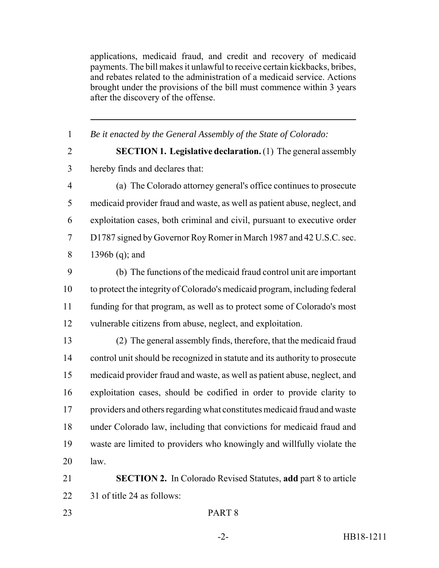applications, medicaid fraud, and credit and recovery of medicaid payments. The bill makes it unlawful to receive certain kickbacks, bribes, and rebates related to the administration of a medicaid service. Actions brought under the provisions of the bill must commence within 3 years after the discovery of the offense.

 *Be it enacted by the General Assembly of the State of Colorado:* **SECTION 1. Legislative declaration.** (1) The general assembly hereby finds and declares that: (a) The Colorado attorney general's office continues to prosecute medicaid provider fraud and waste, as well as patient abuse, neglect, and exploitation cases, both criminal and civil, pursuant to executive order D1787 signed by Governor Roy Romer in March 1987 and 42 U.S.C. sec. 1396b (q); and (b) The functions of the medicaid fraud control unit are important to protect the integrity of Colorado's medicaid program, including federal funding for that program, as well as to protect some of Colorado's most vulnerable citizens from abuse, neglect, and exploitation. (2) The general assembly finds, therefore, that the medicaid fraud control unit should be recognized in statute and its authority to prosecute medicaid provider fraud and waste, as well as patient abuse, neglect, and exploitation cases, should be codified in order to provide clarity to providers and others regarding what constitutes medicaid fraud and waste under Colorado law, including that convictions for medicaid fraud and waste are limited to providers who knowingly and willfully violate the

law.

 **SECTION 2.** In Colorado Revised Statutes, **add** part 8 to article 31 of title 24 as follows: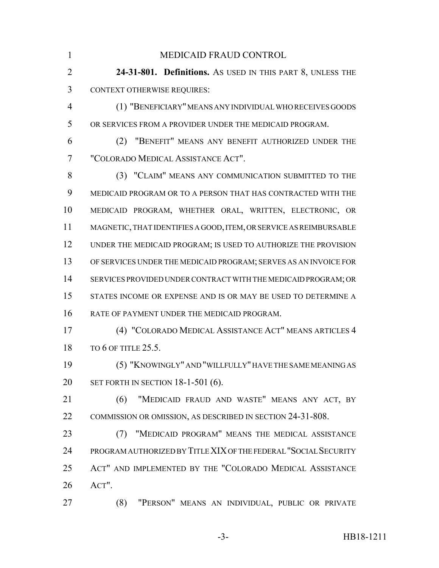MEDICAID FRAUD CONTROL **24-31-801. Definitions.** AS USED IN THIS PART 8, UNLESS THE CONTEXT OTHERWISE REQUIRES: (1) "BENEFICIARY" MEANS ANY INDIVIDUAL WHO RECEIVES GOODS OR SERVICES FROM A PROVIDER UNDER THE MEDICAID PROGRAM. (2) "BENEFIT" MEANS ANY BENEFIT AUTHORIZED UNDER THE "COLORADO MEDICAL ASSISTANCE ACT". (3) "CLAIM" MEANS ANY COMMUNICATION SUBMITTED TO THE MEDICAID PROGRAM OR TO A PERSON THAT HAS CONTRACTED WITH THE MEDICAID PROGRAM, WHETHER ORAL, WRITTEN, ELECTRONIC, OR MAGNETIC, THAT IDENTIFIES A GOOD, ITEM, OR SERVICE AS REIMBURSABLE UNDER THE MEDICAID PROGRAM; IS USED TO AUTHORIZE THE PROVISION OF SERVICES UNDER THE MEDICAID PROGRAM; SERVES AS AN INVOICE FOR SERVICES PROVIDED UNDER CONTRACT WITH THE MEDICAID PROGRAM; OR STATES INCOME OR EXPENSE AND IS OR MAY BE USED TO DETERMINE A RATE OF PAYMENT UNDER THE MEDICAID PROGRAM. (4) "COLORADO MEDICAL ASSISTANCE ACT" MEANS ARTICLES 4 18 TO 6 OF TITLE 25.5. (5) "KNOWINGLY" AND "WILLFULLY" HAVE THE SAME MEANING AS SET FORTH IN SECTION 18-1-501 (6). (6) "MEDICAID FRAUD AND WASTE" MEANS ANY ACT, BY COMMISSION OR OMISSION, AS DESCRIBED IN SECTION 24-31-808. (7) "MEDICAID PROGRAM" MEANS THE MEDICAL ASSISTANCE PROGRAM AUTHORIZED BY TITLE XIX OF THE FEDERAL "SOCIAL SECURITY ACT" AND IMPLEMENTED BY THE "COLORADO MEDICAL ASSISTANCE ACT". (8) "PERSON" MEANS AN INDIVIDUAL, PUBLIC OR PRIVATE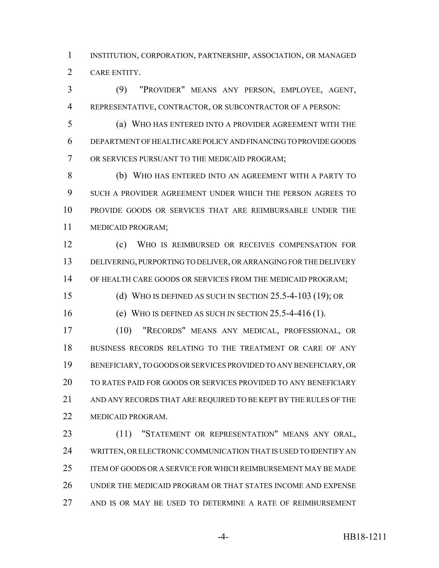INSTITUTION, CORPORATION, PARTNERSHIP, ASSOCIATION, OR MANAGED CARE ENTITY.

 (9) "PROVIDER" MEANS ANY PERSON, EMPLOYEE, AGENT, REPRESENTATIVE, CONTRACTOR, OR SUBCONTRACTOR OF A PERSON:

 (a) WHO HAS ENTERED INTO A PROVIDER AGREEMENT WITH THE DEPARTMENT OF HEALTH CARE POLICY AND FINANCING TO PROVIDE GOODS OR SERVICES PURSUANT TO THE MEDICAID PROGRAM;

 (b) WHO HAS ENTERED INTO AN AGREEMENT WITH A PARTY TO SUCH A PROVIDER AGREEMENT UNDER WHICH THE PERSON AGREES TO PROVIDE GOODS OR SERVICES THAT ARE REIMBURSABLE UNDER THE MEDICAID PROGRAM;

 (c) WHO IS REIMBURSED OR RECEIVES COMPENSATION FOR DELIVERING, PURPORTING TO DELIVER, OR ARRANGING FOR THE DELIVERY OF HEALTH CARE GOODS OR SERVICES FROM THE MEDICAID PROGRAM;

(d) WHO IS DEFINED AS SUCH IN SECTION 25.5-4-103 (19); OR

(e) WHO IS DEFINED AS SUCH IN SECTION 25.5-4-416 (1).

 (10) "RECORDS" MEANS ANY MEDICAL, PROFESSIONAL, OR BUSINESS RECORDS RELATING TO THE TREATMENT OR CARE OF ANY BENEFICIARY, TO GOODS OR SERVICES PROVIDED TO ANY BENEFICIARY, OR TO RATES PAID FOR GOODS OR SERVICES PROVIDED TO ANY BENEFICIARY AND ANY RECORDS THAT ARE REQUIRED TO BE KEPT BY THE RULES OF THE MEDICAID PROGRAM.

23 (11) "STATEMENT OR REPRESENTATION" MEANS ANY ORAL, WRITTEN, OR ELECTRONIC COMMUNICATION THAT IS USED TO IDENTIFY AN ITEM OF GOODS OR A SERVICE FOR WHICH REIMBURSEMENT MAY BE MADE UNDER THE MEDICAID PROGRAM OR THAT STATES INCOME AND EXPENSE AND IS OR MAY BE USED TO DETERMINE A RATE OF REIMBURSEMENT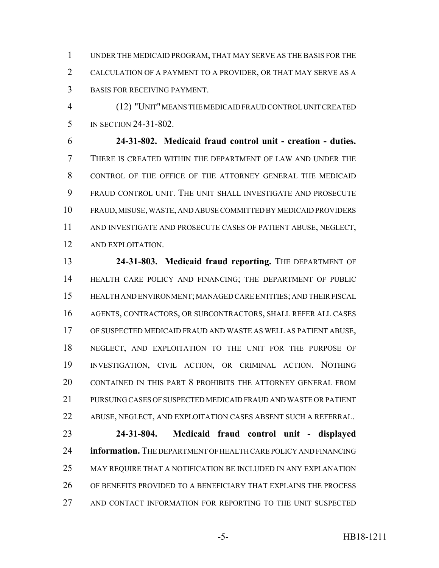UNDER THE MEDICAID PROGRAM, THAT MAY SERVE AS THE BASIS FOR THE CALCULATION OF A PAYMENT TO A PROVIDER, OR THAT MAY SERVE AS A BASIS FOR RECEIVING PAYMENT.

 (12) "UNIT" MEANS THE MEDICAID FRAUD CONTROL UNIT CREATED IN SECTION 24-31-802.

 **24-31-802. Medicaid fraud control unit - creation - duties.** THERE IS CREATED WITHIN THE DEPARTMENT OF LAW AND UNDER THE CONTROL OF THE OFFICE OF THE ATTORNEY GENERAL THE MEDICAID FRAUD CONTROL UNIT. THE UNIT SHALL INVESTIGATE AND PROSECUTE FRAUD, MISUSE, WASTE, AND ABUSE COMMITTED BY MEDICAID PROVIDERS AND INVESTIGATE AND PROSECUTE CASES OF PATIENT ABUSE, NEGLECT, AND EXPLOITATION.

 **24-31-803. Medicaid fraud reporting.** THE DEPARTMENT OF HEALTH CARE POLICY AND FINANCING; THE DEPARTMENT OF PUBLIC HEALTH AND ENVIRONMENT; MANAGED CARE ENTITIES; AND THEIR FISCAL AGENTS, CONTRACTORS, OR SUBCONTRACTORS, SHALL REFER ALL CASES OF SUSPECTED MEDICAID FRAUD AND WASTE AS WELL AS PATIENT ABUSE, NEGLECT, AND EXPLOITATION TO THE UNIT FOR THE PURPOSE OF INVESTIGATION, CIVIL ACTION, OR CRIMINAL ACTION. NOTHING CONTAINED IN THIS PART 8 PROHIBITS THE ATTORNEY GENERAL FROM PURSUING CASES OF SUSPECTED MEDICAID FRAUD AND WASTE OR PATIENT ABUSE, NEGLECT, AND EXPLOITATION CASES ABSENT SUCH A REFERRAL. **24-31-804. Medicaid fraud control unit - displayed information.** THE DEPARTMENT OF HEALTH CARE POLICY AND FINANCING

 OF BENEFITS PROVIDED TO A BENEFICIARY THAT EXPLAINS THE PROCESS AND CONTACT INFORMATION FOR REPORTING TO THE UNIT SUSPECTED

MAY REQUIRE THAT A NOTIFICATION BE INCLUDED IN ANY EXPLANATION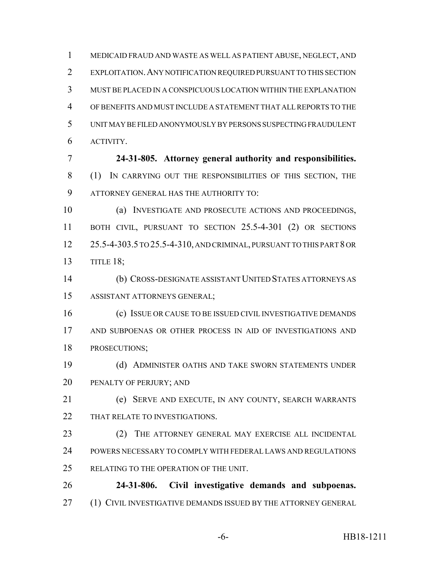MEDICAID FRAUD AND WASTE AS WELL AS PATIENT ABUSE, NEGLECT, AND EXPLOITATION.ANY NOTIFICATION REQUIRED PURSUANT TO THIS SECTION MUST BE PLACED IN A CONSPICUOUS LOCATION WITHIN THE EXPLANATION OF BENEFITS AND MUST INCLUDE A STATEMENT THAT ALL REPORTS TO THE UNIT MAY BE FILED ANONYMOUSLY BY PERSONS SUSPECTING FRAUDULENT ACTIVITY.

 **24-31-805. Attorney general authority and responsibilities.** (1) IN CARRYING OUT THE RESPONSIBILITIES OF THIS SECTION, THE ATTORNEY GENERAL HAS THE AUTHORITY TO:

 (a) INVESTIGATE AND PROSECUTE ACTIONS AND PROCEEDINGS, BOTH CIVIL, PURSUANT TO SECTION 25.5-4-301 (2) OR SECTIONS 25.5-4-303.5 TO 25.5-4-310, AND CRIMINAL, PURSUANT TO THIS PART 8 OR TITLE 18;

 (b) CROSS-DESIGNATE ASSISTANT UNITED STATES ATTORNEYS AS ASSISTANT ATTORNEYS GENERAL;

 (c) ISSUE OR CAUSE TO BE ISSUED CIVIL INVESTIGATIVE DEMANDS AND SUBPOENAS OR OTHER PROCESS IN AID OF INVESTIGATIONS AND PROSECUTIONS;

 (d) ADMINISTER OATHS AND TAKE SWORN STATEMENTS UNDER PENALTY OF PERJURY; AND

 (e) SERVE AND EXECUTE, IN ANY COUNTY, SEARCH WARRANTS 22 THAT RELATE TO INVESTIGATIONS.

 (2) THE ATTORNEY GENERAL MAY EXERCISE ALL INCIDENTAL POWERS NECESSARY TO COMPLY WITH FEDERAL LAWS AND REGULATIONS 25 RELATING TO THE OPERATION OF THE UNIT.

 **24-31-806. Civil investigative demands and subpoenas.** 27 (1) CIVIL INVESTIGATIVE DEMANDS ISSUED BY THE ATTORNEY GENERAL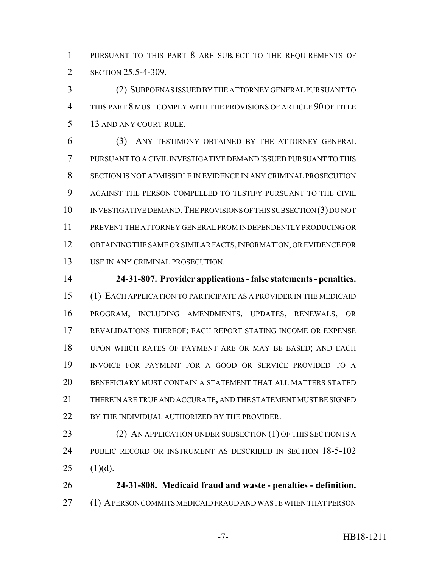PURSUANT TO THIS PART 8 ARE SUBJECT TO THE REQUIREMENTS OF 2 SECTION 25.5-4-309.

 (2) SUBPOENAS ISSUED BY THE ATTORNEY GENERAL PURSUANT TO THIS PART 8 MUST COMPLY WITH THE PROVISIONS OF ARTICLE 90 OF TITLE 13 AND ANY COURT RULE.

 (3) ANY TESTIMONY OBTAINED BY THE ATTORNEY GENERAL PURSUANT TO A CIVIL INVESTIGATIVE DEMAND ISSUED PURSUANT TO THIS SECTION IS NOT ADMISSIBLE IN EVIDENCE IN ANY CRIMINAL PROSECUTION AGAINST THE PERSON COMPELLED TO TESTIFY PURSUANT TO THE CIVIL 10 INVESTIGATIVE DEMAND. THE PROVISIONS OF THIS SUBSECTION (3) DO NOT PREVENT THE ATTORNEY GENERAL FROM INDEPENDENTLY PRODUCING OR OBTAINING THE SAME OR SIMILAR FACTS, INFORMATION, OR EVIDENCE FOR USE IN ANY CRIMINAL PROSECUTION.

 **24-31-807. Provider applications - false statements - penalties.** (1) EACH APPLICATION TO PARTICIPATE AS A PROVIDER IN THE MEDICAID PROGRAM, INCLUDING AMENDMENTS, UPDATES, RENEWALS, OR REVALIDATIONS THEREOF; EACH REPORT STATING INCOME OR EXPENSE UPON WHICH RATES OF PAYMENT ARE OR MAY BE BASED; AND EACH INVOICE FOR PAYMENT FOR A GOOD OR SERVICE PROVIDED TO A BENEFICIARY MUST CONTAIN A STATEMENT THAT ALL MATTERS STATED THEREIN ARE TRUE AND ACCURATE, AND THE STATEMENT MUST BE SIGNED 22 BY THE INDIVIDUAL AUTHORIZED BY THE PROVIDER.

23 (2) AN APPLICATION UNDER SUBSECTION (1) OF THIS SECTION IS A PUBLIC RECORD OR INSTRUMENT AS DESCRIBED IN SECTION 18-5-102 25  $(1)(d)$ .

 **24-31-808. Medicaid fraud and waste - penalties - definition.** (1) A PERSON COMMITS MEDICAID FRAUD AND WASTE WHEN THAT PERSON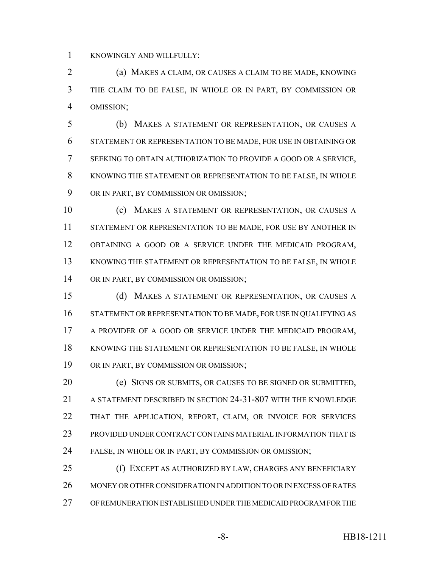KNOWINGLY AND WILLFULLY:

 (a) MAKES A CLAIM, OR CAUSES A CLAIM TO BE MADE, KNOWING THE CLAIM TO BE FALSE, IN WHOLE OR IN PART, BY COMMISSION OR OMISSION;

 (b) MAKES A STATEMENT OR REPRESENTATION, OR CAUSES A STATEMENT OR REPRESENTATION TO BE MADE, FOR USE IN OBTAINING OR SEEKING TO OBTAIN AUTHORIZATION TO PROVIDE A GOOD OR A SERVICE, KNOWING THE STATEMENT OR REPRESENTATION TO BE FALSE, IN WHOLE OR IN PART, BY COMMISSION OR OMISSION;

 (c) MAKES A STATEMENT OR REPRESENTATION, OR CAUSES A STATEMENT OR REPRESENTATION TO BE MADE, FOR USE BY ANOTHER IN OBTAINING A GOOD OR A SERVICE UNDER THE MEDICAID PROGRAM, KNOWING THE STATEMENT OR REPRESENTATION TO BE FALSE, IN WHOLE OR IN PART, BY COMMISSION OR OMISSION;

 (d) MAKES A STATEMENT OR REPRESENTATION, OR CAUSES A STATEMENT OR REPRESENTATION TO BE MADE, FOR USE IN QUALIFYING AS 17 A PROVIDER OF A GOOD OR SERVICE UNDER THE MEDICAID PROGRAM, KNOWING THE STATEMENT OR REPRESENTATION TO BE FALSE, IN WHOLE OR IN PART, BY COMMISSION OR OMISSION;

 (e) SIGNS OR SUBMITS, OR CAUSES TO BE SIGNED OR SUBMITTED, A STATEMENT DESCRIBED IN SECTION 24-31-807 WITH THE KNOWLEDGE THAT THE APPLICATION, REPORT, CLAIM, OR INVOICE FOR SERVICES PROVIDED UNDER CONTRACT CONTAINS MATERIAL INFORMATION THAT IS FALSE, IN WHOLE OR IN PART, BY COMMISSION OR OMISSION;

 (f) EXCEPT AS AUTHORIZED BY LAW, CHARGES ANY BENEFICIARY MONEY OR OTHER CONSIDERATION IN ADDITION TO OR IN EXCESS OF RATES OF REMUNERATION ESTABLISHED UNDER THE MEDICAID PROGRAM FOR THE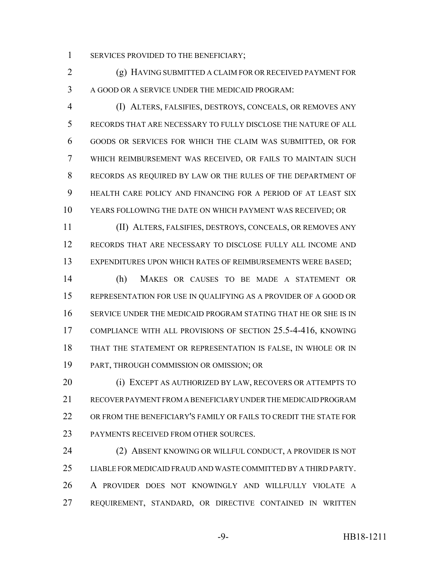1 SERVICES PROVIDED TO THE BENEFICIARY;

 (g) HAVING SUBMITTED A CLAIM FOR OR RECEIVED PAYMENT FOR A GOOD OR A SERVICE UNDER THE MEDICAID PROGRAM:

 (I) ALTERS, FALSIFIES, DESTROYS, CONCEALS, OR REMOVES ANY RECORDS THAT ARE NECESSARY TO FULLY DISCLOSE THE NATURE OF ALL GOODS OR SERVICES FOR WHICH THE CLAIM WAS SUBMITTED, OR FOR WHICH REIMBURSEMENT WAS RECEIVED, OR FAILS TO MAINTAIN SUCH RECORDS AS REQUIRED BY LAW OR THE RULES OF THE DEPARTMENT OF HEALTH CARE POLICY AND FINANCING FOR A PERIOD OF AT LEAST SIX YEARS FOLLOWING THE DATE ON WHICH PAYMENT WAS RECEIVED; OR

 (II) ALTERS, FALSIFIES, DESTROYS, CONCEALS, OR REMOVES ANY RECORDS THAT ARE NECESSARY TO DISCLOSE FULLY ALL INCOME AND EXPENDITURES UPON WHICH RATES OF REIMBURSEMENTS WERE BASED;

 (h) MAKES OR CAUSES TO BE MADE A STATEMENT OR REPRESENTATION FOR USE IN QUALIFYING AS A PROVIDER OF A GOOD OR SERVICE UNDER THE MEDICAID PROGRAM STATING THAT HE OR SHE IS IN COMPLIANCE WITH ALL PROVISIONS OF SECTION 25.5-4-416, KNOWING THAT THE STATEMENT OR REPRESENTATION IS FALSE, IN WHOLE OR IN PART, THROUGH COMMISSION OR OMISSION; OR

 (i) EXCEPT AS AUTHORIZED BY LAW, RECOVERS OR ATTEMPTS TO RECOVER PAYMENT FROM A BENEFICIARY UNDER THE MEDICAID PROGRAM OR FROM THE BENEFICIARY'S FAMILY OR FAILS TO CREDIT THE STATE FOR PAYMENTS RECEIVED FROM OTHER SOURCES.

 (2) ABSENT KNOWING OR WILLFUL CONDUCT, A PROVIDER IS NOT LIABLE FOR MEDICAID FRAUD AND WASTE COMMITTED BY A THIRD PARTY. A PROVIDER DOES NOT KNOWINGLY AND WILLFULLY VIOLATE A REQUIREMENT, STANDARD, OR DIRECTIVE CONTAINED IN WRITTEN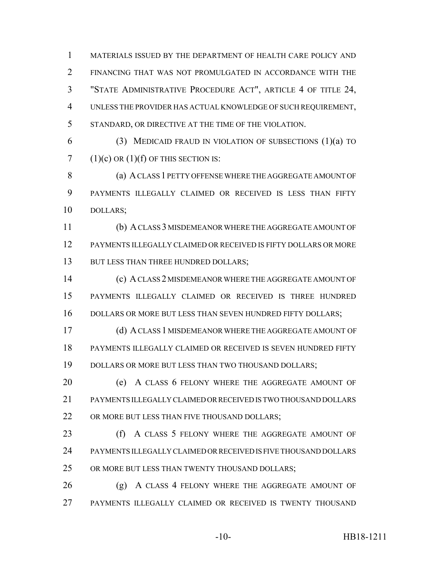MATERIALS ISSUED BY THE DEPARTMENT OF HEALTH CARE POLICY AND FINANCING THAT WAS NOT PROMULGATED IN ACCORDANCE WITH THE "STATE ADMINISTRATIVE PROCEDURE ACT", ARTICLE 4 OF TITLE 24, UNLESS THE PROVIDER HAS ACTUAL KNOWLEDGE OF SUCH REQUIREMENT, STANDARD, OR DIRECTIVE AT THE TIME OF THE VIOLATION.

 (3) MEDICAID FRAUD IN VIOLATION OF SUBSECTIONS (1)(a) TO 7 (1)(c) OR  $(1)(f)$  OF THIS SECTION IS:

 (a) A CLASS 1 PETTY OFFENSE WHERE THE AGGREGATE AMOUNT OF PAYMENTS ILLEGALLY CLAIMED OR RECEIVED IS LESS THAN FIFTY DOLLARS;

 (b) A CLASS 3 MISDEMEANOR WHERE THE AGGREGATE AMOUNT OF PAYMENTS ILLEGALLY CLAIMED OR RECEIVED IS FIFTY DOLLARS OR MORE 13 BUT LESS THAN THREE HUNDRED DOLLARS;

 (c) A CLASS 2 MISDEMEANOR WHERE THE AGGREGATE AMOUNT OF PAYMENTS ILLEGALLY CLAIMED OR RECEIVED IS THREE HUNDRED 16 DOLLARS OR MORE BUT LESS THAN SEVEN HUNDRED FIFTY DOLLARS;

**(d) A CLASS 1 MISDEMEANOR WHERE THE AGGREGATE AMOUNT OF**  PAYMENTS ILLEGALLY CLAIMED OR RECEIVED IS SEVEN HUNDRED FIFTY 19 DOLLARS OR MORE BUT LESS THAN TWO THOUSAND DOLLARS;

**(e)** A CLASS 6 FELONY WHERE THE AGGREGATE AMOUNT OF PAYMENTS ILLEGALLY CLAIMED OR RECEIVED IS TWO THOUSAND DOLLARS 22 OR MORE BUT LESS THAN FIVE THOUSAND DOLLARS;

23 (f) A CLASS 5 FELONY WHERE THE AGGREGATE AMOUNT OF PAYMENTS ILLEGALLY CLAIMED OR RECEIVED IS FIVE THOUSAND DOLLARS 25 OR MORE BUT LESS THAN TWENTY THOUSAND DOLLARS;

26 (g) A CLASS 4 FELONY WHERE THE AGGREGATE AMOUNT OF PAYMENTS ILLEGALLY CLAIMED OR RECEIVED IS TWENTY THOUSAND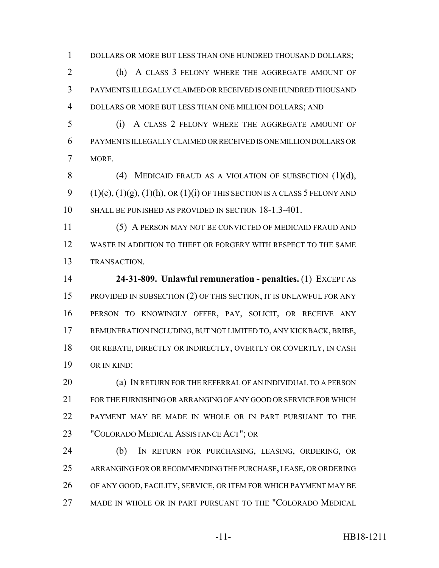1 DOLLARS OR MORE BUT LESS THAN ONE HUNDRED THOUSAND DOLLARS;

 (h) A CLASS 3 FELONY WHERE THE AGGREGATE AMOUNT OF PAYMENTS ILLEGALLY CLAIMED OR RECEIVED IS ONE HUNDRED THOUSAND DOLLARS OR MORE BUT LESS THAN ONE MILLION DOLLARS; AND

 (i) A CLASS 2 FELONY WHERE THE AGGREGATE AMOUNT OF PAYMENTS ILLEGALLY CLAIMED OR RECEIVED IS ONE MILLION DOLLARS OR MORE.

8 (4) MEDICAID FRAUD AS A VIOLATION OF SUBSECTION (1)(d), 9  $(1)(e)$ ,  $(1)(g)$ ,  $(1)(h)$ , OR  $(1)(i)$  OF THIS SECTION IS A CLASS 5 FELONY AND SHALL BE PUNISHED AS PROVIDED IN SECTION 18-1.3-401.

 (5) A PERSON MAY NOT BE CONVICTED OF MEDICAID FRAUD AND WASTE IN ADDITION TO THEFT OR FORGERY WITH RESPECT TO THE SAME TRANSACTION.

 **24-31-809. Unlawful remuneration - penalties.** (1) EXCEPT AS PROVIDED IN SUBSECTION (2) OF THIS SECTION, IT IS UNLAWFUL FOR ANY PERSON TO KNOWINGLY OFFER, PAY, SOLICIT, OR RECEIVE ANY REMUNERATION INCLUDING, BUT NOT LIMITED TO, ANY KICKBACK, BRIBE, OR REBATE, DIRECTLY OR INDIRECTLY, OVERTLY OR COVERTLY, IN CASH OR IN KIND:

**(a) IN RETURN FOR THE REFERRAL OF AN INDIVIDUAL TO A PERSON**  FOR THE FURNISHING OR ARRANGING OF ANY GOOD OR SERVICE FOR WHICH PAYMENT MAY BE MADE IN WHOLE OR IN PART PURSUANT TO THE "COLORADO MEDICAL ASSISTANCE ACT"; OR

 (b) IN RETURN FOR PURCHASING, LEASING, ORDERING, OR ARRANGING FOR OR RECOMMENDING THE PURCHASE, LEASE, OR ORDERING OF ANY GOOD, FACILITY, SERVICE, OR ITEM FOR WHICH PAYMENT MAY BE MADE IN WHOLE OR IN PART PURSUANT TO THE "COLORADO MEDICAL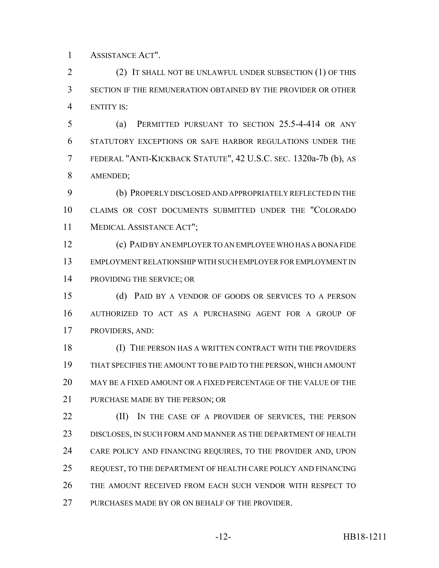ASSISTANCE ACT".

 (2) IT SHALL NOT BE UNLAWFUL UNDER SUBSECTION (1) OF THIS SECTION IF THE REMUNERATION OBTAINED BY THE PROVIDER OR OTHER ENTITY IS:

 (a) PERMITTED PURSUANT TO SECTION 25.5-4-414 OR ANY STATUTORY EXCEPTIONS OR SAFE HARBOR REGULATIONS UNDER THE FEDERAL "ANTI-KICKBACK STATUTE", 42 U.S.C. SEC. 1320a-7b (b), AS AMENDED;

 (b) PROPERLY DISCLOSED AND APPROPRIATELY REFLECTED IN THE CLAIMS OR COST DOCUMENTS SUBMITTED UNDER THE "COLORADO MEDICAL ASSISTANCE ACT";

 (c) PAID BY AN EMPLOYER TO AN EMPLOYEE WHO HAS A BONA FIDE EMPLOYMENT RELATIONSHIP WITH SUCH EMPLOYER FOR EMPLOYMENT IN PROVIDING THE SERVICE; OR

 (d) PAID BY A VENDOR OF GOODS OR SERVICES TO A PERSON AUTHORIZED TO ACT AS A PURCHASING AGENT FOR A GROUP OF PROVIDERS, AND:

 (I) THE PERSON HAS A WRITTEN CONTRACT WITH THE PROVIDERS THAT SPECIFIES THE AMOUNT TO BE PAID TO THE PERSON, WHICH AMOUNT MAY BE A FIXED AMOUNT OR A FIXED PERCENTAGE OF THE VALUE OF THE 21 PURCHASE MADE BY THE PERSON; OR

**(II)** IN THE CASE OF A PROVIDER OF SERVICES, THE PERSON DISCLOSES, IN SUCH FORM AND MANNER AS THE DEPARTMENT OF HEALTH CARE POLICY AND FINANCING REQUIRES, TO THE PROVIDER AND, UPON REQUEST, TO THE DEPARTMENT OF HEALTH CARE POLICY AND FINANCING THE AMOUNT RECEIVED FROM EACH SUCH VENDOR WITH RESPECT TO PURCHASES MADE BY OR ON BEHALF OF THE PROVIDER.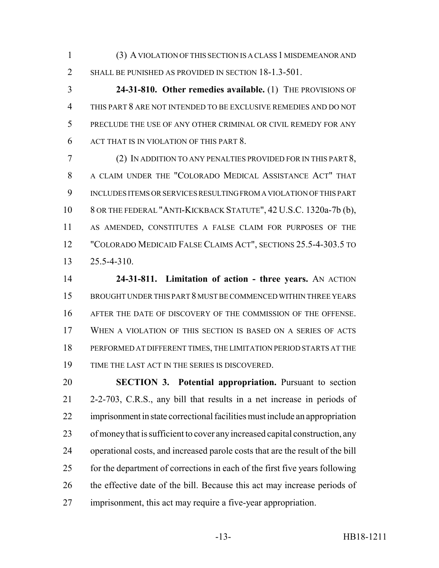(3) A VIOLATION OF THIS SECTION IS A CLASS 1 MISDEMEANOR AND 2 SHALL BE PUNISHED AS PROVIDED IN SECTION 18-1.3-501.

 **24-31-810. Other remedies available.** (1) THE PROVISIONS OF THIS PART 8 ARE NOT INTENDED TO BE EXCLUSIVE REMEDIES AND DO NOT PRECLUDE THE USE OF ANY OTHER CRIMINAL OR CIVIL REMEDY FOR ANY ACT THAT IS IN VIOLATION OF THIS PART 8.

 (2) IN ADDITION TO ANY PENALTIES PROVIDED FOR IN THIS PART 8, A CLAIM UNDER THE "COLORADO MEDICAL ASSISTANCE ACT" THAT INCLUDES ITEMS OR SERVICES RESULTING FROM A VIOLATION OF THIS PART 8 OR THE FEDERAL "ANTI-KICKBACK STATUTE", 42 U.S.C. 1320a-7b (b), AS AMENDED, CONSTITUTES A FALSE CLAIM FOR PURPOSES OF THE "COLORADO MEDICAID FALSE CLAIMS ACT", SECTIONS 25.5-4-303.5 TO 25.5-4-310.

 **24-31-811. Limitation of action - three years.** AN ACTION BROUGHT UNDER THIS PART 8 MUST BE COMMENCED WITHIN THREE YEARS AFTER THE DATE OF DISCOVERY OF THE COMMISSION OF THE OFFENSE. WHEN A VIOLATION OF THIS SECTION IS BASED ON A SERIES OF ACTS PERFORMED AT DIFFERENT TIMES, THE LIMITATION PERIOD STARTS AT THE TIME THE LAST ACT IN THE SERIES IS DISCOVERED.

 **SECTION 3. Potential appropriation.** Pursuant to section 2-2-703, C.R.S., any bill that results in a net increase in periods of imprisonment in state correctional facilities must include an appropriation of money that is sufficient to cover any increased capital construction, any operational costs, and increased parole costs that are the result of the bill for the department of corrections in each of the first five years following 26 the effective date of the bill. Because this act may increase periods of imprisonment, this act may require a five-year appropriation.